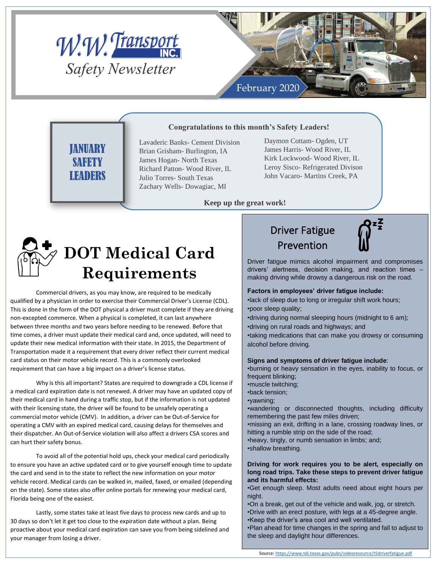



## **JANUARY SAFETY** LEADERS

**Congratulations to this month's Safety Leaders!**

Lavaderic Banks- Cement Division Brian Grisham- Burlington, IA James Hogan- North Texas Richard Patton- Wood River, IL Julio Torres- South Texas Zachary Wells- Dowagiac, MI

Daymon Cottam- Ogden, UT James Harris- Wood River, IL Kirk Lockwood- Wood River, IL Leroy Sisco- Refrigerated Divison John Vacaro- Martins Creek, PA

#### **Keep up the great work!**



Commercial drivers, as you may know, are required to be medically qualified by a physician in order to exercise their Commercial Driver's License (CDL). This is done in the form of the DOT physical a driver must complete if they are driving non-excepted commerce. When a physical is completed, it can last anywhere between three months and two years before needing to be renewed. Before that time comes, a driver must update their medical card and, once updated, will need to update their new medical information with their state. In 2015, the Department of Transportation made it a requirement that every driver reflect their current medical card status on their motor vehicle record. This is a commonly overlooked requirement that can have a big impact on a driver's license status.

Why is this all important? States are required to downgrade a CDL license if a medical card expiration date is not renewed. A driver may have an updated copy of their medical card in hand during a traffic stop, but if the information is not updated with their licensing state, the driver will be found to be unsafely operating a commercial motor vehicle (CMV). In addition, a driver can be Out-of-Service for operating a CMV with an expired medical card, causing delays for themselves and their dispatcher. An Out-of-Service violation will also affect a drivers CSA scores and can hurt their safety bonus.

To avoid all of the potential hold ups, check your medical card periodically to ensure you have an active updated card or to give yourself enough time to update the card and send in to the state to reflect the new information on your motor vehicle record. Medical cards can be walked in, mailed, faxed, or emailed (depending on the state). Some states also offer online portals for renewing your medical card, Florida being one of the easiest.

Lastly, some states take at least five days to process new cards and up to 30 days so don't let it get too close to the expiration date without a plan. Being proactive about your medical card expiration can save you from being sidelined and your manager from losing a driver.

### Driver Fatigue Prevention



Driver fatigue mimics alcohol impairment and compromises drivers' alertness, decision making, and reaction times – making driving while drowsy a dangerous risk on the road.

#### **Factors in employees' driver fatigue include:**

•lack of sleep due to long or irregular shift work hours; •poor sleep quality;

•driving during normal sleeping hours (midnight to 6 am);

•driving on rural roads and highways; and

•taking medications that can make you drowsy or consuming alcohol before driving.

#### **Signs and symptoms of driver fatigue include**:

•burning or heavy sensation in the eyes, inability to focus, or frequent blinking;

•muscle twitching;

- •back tension;
- •yawning;

•wandering or disconnected thoughts, including difficulty remembering the past few miles driven;

•missing an exit, drifting in a lane, crossing roadway lines, or hitting a rumble strip on the side of the road;

•heavy, tingly, or numb sensation in limbs; and;

•shallow breathing.

#### **Driving for work requires you to be alert, especially on long road trips. Take these steps to prevent driver fatigue and its harmful effects:**

•Get enough sleep. Most adults need about eight hours per night.

•On a break, get out of the vehicle and walk, jog, or stretch.

•Drive with an erect posture, with legs at a 45-degree angle. •Keep the driver's area cool and well ventilated.

•Plan ahead for time changes in the spring and fall to adjust to the sleep and daylight hour differences.